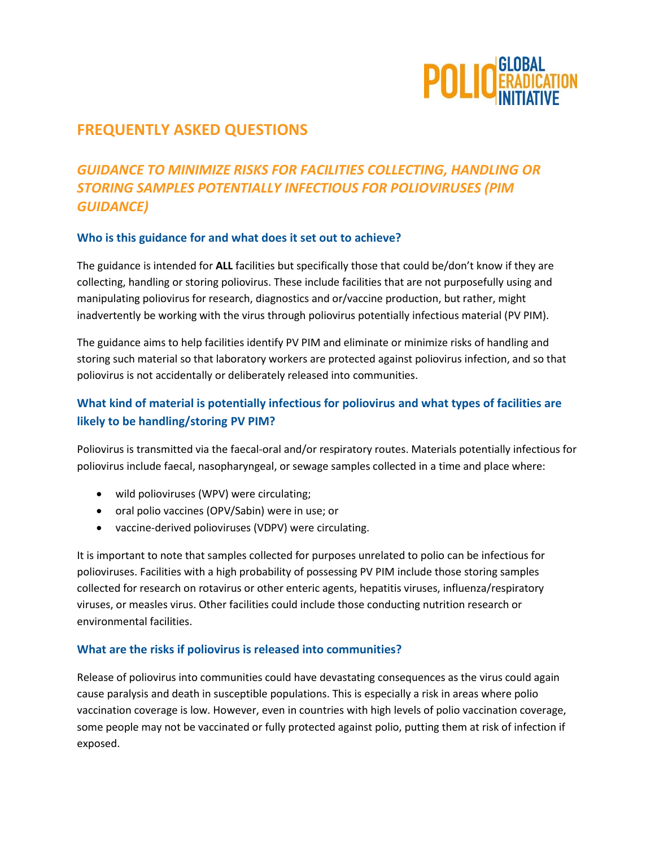

# **FREQUENTLY ASKED QUESTIONS**

# *GUIDANCE TO MINIMIZE RISKS FOR FACILITIES COLLECTING, HANDLING OR STORING SAMPLES POTENTIALLY INFECTIOUS FOR POLIOVIRUSES (PIM GUIDANCE)*

#### **Who is this guidance for and what does it set out to achieve?**

The guidance is intended for **ALL** facilities but specifically those that could be/don't know if they are collecting, handling or storing poliovirus. These include facilities that are not purposefully using and manipulating poliovirus for research, diagnostics and or/vaccine production, but rather, might inadvertently be working with the virus through poliovirus potentially infectious material (PV PIM).

The guidance aims to help facilities identify PV PIM and eliminate or minimize risks of handling and storing such material so that laboratory workers are protected against poliovirus infection, and so that poliovirus is not accidentally or deliberately released into communities.

# **What kind of material is potentially infectious for poliovirus and what types of facilities are likely to be handling/storing PV PIM?**

Poliovirus is transmitted via the faecal-oral and/or respiratory routes. Materials potentially infectious for poliovirus include faecal, nasopharyngeal, or sewage samples collected in a time and place where:

- wild polioviruses (WPV) were circulating;
- oral polio vaccines (OPV/Sabin) were in use; or
- vaccine-derived polioviruses (VDPV) were circulating.

It is important to note that samples collected for purposes unrelated to polio can be infectious for polioviruses. Facilities with a high probability of possessing PV PIM include those storing samples collected for research on rotavirus or other enteric agents, hepatitis viruses, influenza/respiratory viruses, or measles virus. Other facilities could include those conducting nutrition research or environmental facilities.

#### **What are the risks if poliovirus is released into communities?**

Release of poliovirus into communities could have devastating consequences as the virus could again cause paralysis and death in susceptible populations. This is especially a risk in areas where polio vaccination coverage is low. However, even in countries with high levels of polio vaccination coverage, some people may not be vaccinated or fully protected against polio, putting them at risk of infection if exposed.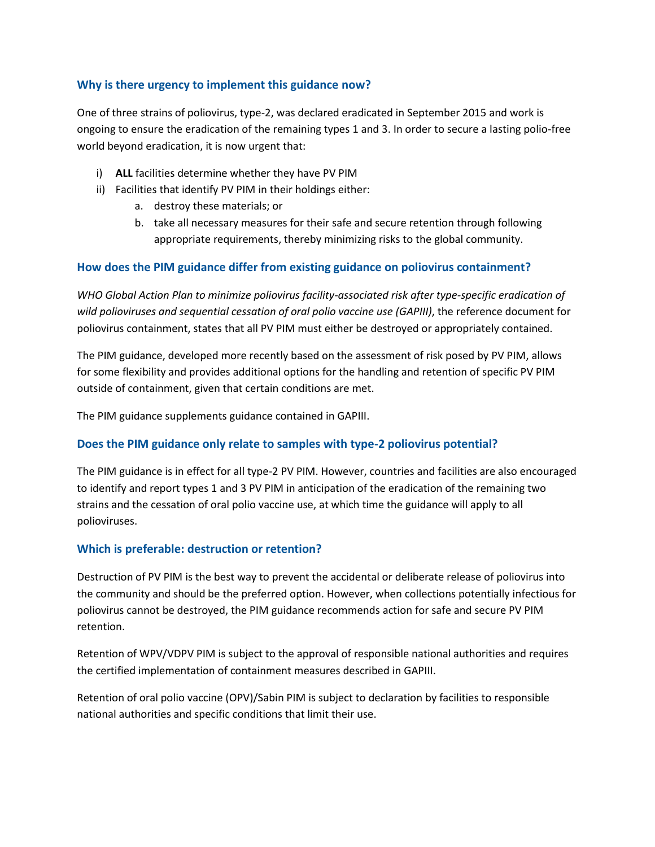#### **Why is there urgency to implement this guidance now?**

One of three strains of poliovirus, type-2, was declared eradicated in September 2015 and work is ongoing to ensure the eradication of the remaining types 1 and 3. In order to secure a lasting polio-free world beyond eradication, it is now urgent that:

- i) **ALL** facilities determine whether they have PV PIM
- ii) Facilities that identify PV PIM in their holdings either:
	- a. destroy these materials; or
	- b. take all necessary measures for their safe and secure retention through following appropriate requirements, thereby minimizing risks to the global community.

#### **How does the PIM guidance differ from existing guidance on poliovirus containment?**

*WHO Global Action Plan to minimize poliovirus facility-associated risk after type-specific eradication of wild polioviruses and sequential cessation of oral polio vaccine use (GAPIII)*, the reference document for poliovirus containment, states that all PV PIM must either be destroyed or appropriately contained.

The PIM guidance, developed more recently based on the assessment of risk posed by PV PIM, allows for some flexibility and provides additional options for the handling and retention of specific PV PIM outside of containment, given that certain conditions are met.

The PIM guidance supplements guidance contained in GAPIII.

#### **Does the PIM guidance only relate to samples with type-2 poliovirus potential?**

The PIM guidance is in effect for all type-2 PV PIM. However, countries and facilities are also encouraged to identify and report types 1 and 3 PV PIM in anticipation of the eradication of the remaining two strains and the cessation of oral polio vaccine use, at which time the guidance will apply to all polioviruses.

#### **Which is preferable: destruction or retention?**

Destruction of PV PIM is the best way to prevent the accidental or deliberate release of poliovirus into the community and should be the preferred option. However, when collections potentially infectious for poliovirus cannot be destroyed, the PIM guidance recommends action for safe and secure PV PIM retention.

Retention of WPV/VDPV PIM is subject to the approval of responsible national authorities and requires the certified implementation of containment measures described in GAPIII.

Retention of oral polio vaccine (OPV)/Sabin PIM is subject to declaration by facilities to responsible national authorities and specific conditions that limit their use.